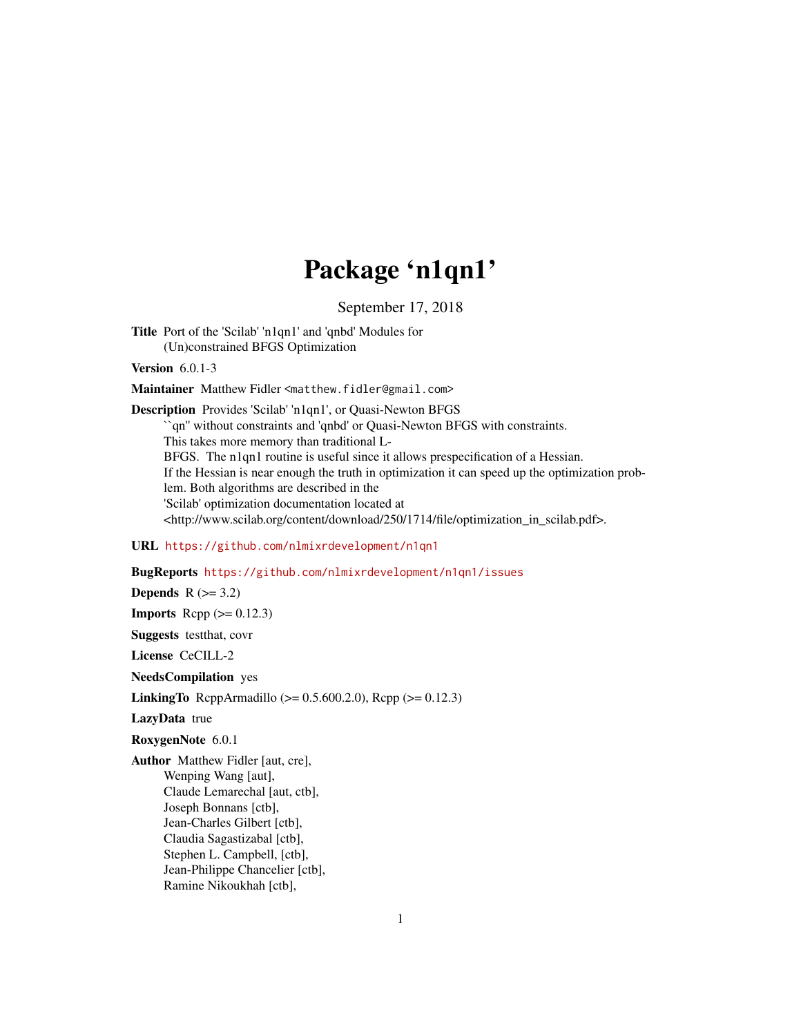## Package 'n1qn1'

September 17, 2018

Title Port of the 'Scilab' 'n1qn1' and 'qnbd' Modules for (Un)constrained BFGS Optimization

Version 6.0.1-3

Maintainer Matthew Fidler <matthew.fidler@gmail.com>

Description Provides 'Scilab' 'n1qn1', or Quasi-Newton BFGS ``qn'' without constraints and 'qnbd' or Quasi-Newton BFGS with constraints. This takes more memory than traditional L-BFGS. The n1qn1 routine is useful since it allows prespecification of a Hessian. If the Hessian is near enough the truth in optimization it can speed up the optimization problem. Both algorithms are described in the 'Scilab' optimization documentation located at <http://www.scilab.org/content/download/250/1714/file/optimization\_in\_scilab.pdf>.

#### URL <https://github.com/nlmixrdevelopment/n1qn1>

#### BugReports <https://github.com/nlmixrdevelopment/n1qn1/issues>

Depends  $R$  ( $>= 3.2$ ) **Imports** Rcpp  $(>= 0.12.3)$ Suggests testthat, covr

License CeCILL-2

NeedsCompilation yes

**LinkingTo** RcppArmadillo ( $>= 0.5.600.2.0$ ), Rcpp ( $>= 0.12.3$ )

LazyData true

RoxygenNote 6.0.1

Author Matthew Fidler [aut, cre], Wenping Wang [aut], Claude Lemarechal [aut, ctb], Joseph Bonnans [ctb], Jean-Charles Gilbert [ctb], Claudia Sagastizabal [ctb], Stephen L. Campbell, [ctb], Jean-Philippe Chancelier [ctb], Ramine Nikoukhah [ctb],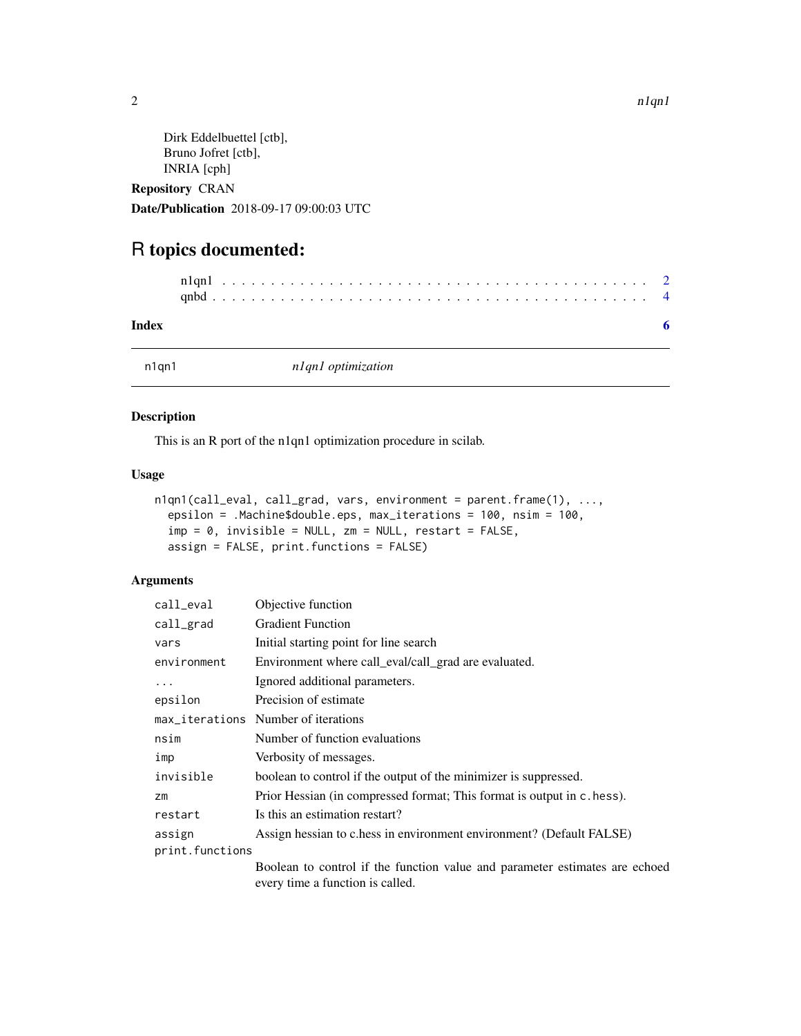```
Dirk Eddelbuettel [ctb],
Bruno Jofret [ctb],
INRIA [cph]
```
Repository CRAN Date/Publication 2018-09-17 09:00:03 UTC

### R topics documented:

#### **Index** [6](#page-5-0) **6**

n1qn1 *n1qn1 optimization*

#### Description

This is an R port of the n1qn1 optimization procedure in scilab.

#### Usage

```
n1qn1(call_eval, call_grad, vars, environment = parent.frame(1), ...,
 epsilon = .Machine$double.eps, max_iterations = 100, nsim = 100,
  imp = 0, invisible = NULL, zm = NULL, restart = FALSE,
  assign = FALSE, print.functions = FALSE)
```
#### Arguments

| call_eval       | Objective function                                                                                              |
|-----------------|-----------------------------------------------------------------------------------------------------------------|
| call_grad       | <b>Gradient Function</b>                                                                                        |
| vars            | Initial starting point for line search                                                                          |
| environment     | Environment where call_eval/call_grad are evaluated.                                                            |
| $\cdots$        | Ignored additional parameters.                                                                                  |
| epsilon         | Precision of estimate                                                                                           |
|                 | max_iterations Number of iterations                                                                             |
| nsim            | Number of function evaluations                                                                                  |
| imp             | Verbosity of messages.                                                                                          |
| invisible       | boolean to control if the output of the minimizer is suppressed.                                                |
| Zm              | Prior Hessian (in compressed format; This format is output in c. hess).                                         |
| restart         | Is this an estimation restart?                                                                                  |
| assign          | Assign hessian to c.hess in environment environment? (Default FALSE)                                            |
| print.functions |                                                                                                                 |
|                 | Boolean to control if the function value and parameter estimates are echoed<br>every time a function is called. |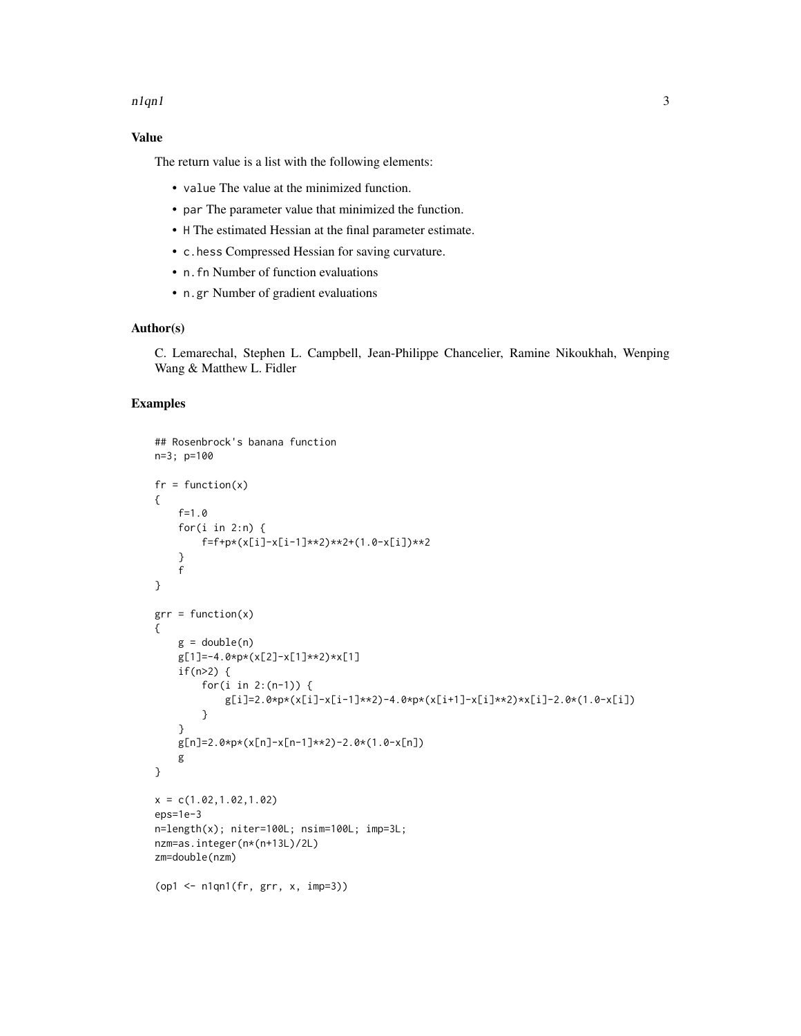#### $n1qn1$  3

#### Value

The return value is a list with the following elements:

- value The value at the minimized function.
- par The parameter value that minimized the function.
- H The estimated Hessian at the final parameter estimate.
- c.hess Compressed Hessian for saving curvature.
- n.fn Number of function evaluations
- n.gr Number of gradient evaluations

#### Author(s)

C. Lemarechal, Stephen L. Campbell, Jean-Philippe Chancelier, Ramine Nikoukhah, Wenping Wang & Matthew L. Fidler

#### Examples

```
## Rosenbrock's banana function
n=3; p=100
fr = function(x){
    f=1.0
    for(i in 2:n) \{f=f+p*(x[i]-x[i-1]**2)**2+(1.0-x[i])**2}
    f
}
grr = function(x){
    g = double(n)g[1]=-4.0*p*(x[2]-x[1]**2)*x[1]
    if(n>2) {
        for(i in 2:(n-1)) {
            g[i]=2.0*p*(x[i]-x[i-1]**2)-4.0*p*(x[i+1]-x[i]**2)*x[i]-2.0*(1.0-x[i])
        }
    }
   g[n]=2.0*p*(x[n]-x[n-1]**2)-2.0*(1.0-x[n])
   g
}
x = c(1.02, 1.02, 1.02)eps=1e-3
n=length(x); niter=100L; nsim=100L; imp=3L;
nzm=as.integer(n*(n+13L)/2L)
zm=double(nzm)
(op1 <- n1qn1(fr, grr, x, imp=3))
```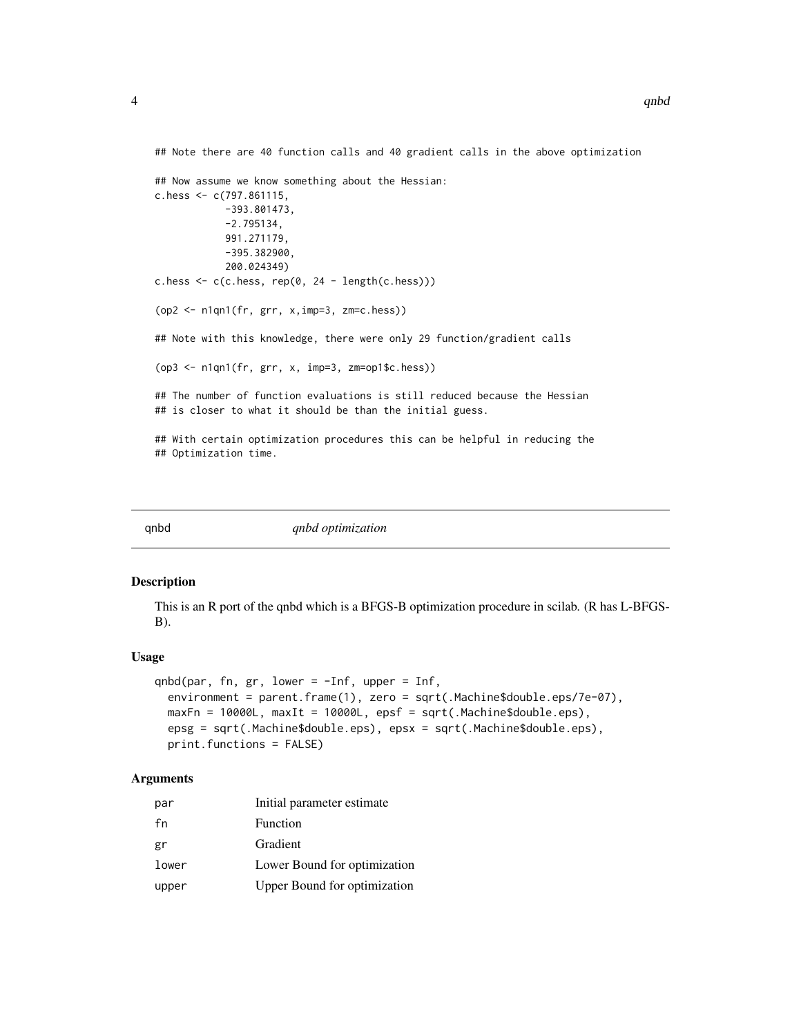<span id="page-3-0"></span>## Note there are 40 function calls and 40 gradient calls in the above optimization

```
## Now assume we know something about the Hessian:
c.hess \leq c(797.861115,-393.801473,
            -2.795134,
            991.271179,
            -395.382900,
            200.024349)
c.hess \leq c(c.hess, rep(0, 24 - length(c.hess)))
(op2 <- n1qn1(fr, grr, x,imp=3, zm=c.hess))
## Note with this knowledge, there were only 29 function/gradient calls
(op3 <- n1qn1(fr, grr, x, imp=3, zm=op1$c.hess))
## The number of function evaluations is still reduced because the Hessian
## is closer to what it should be than the initial guess.
## With certain optimization procedures this can be helpful in reducing the
## Optimization time.
```
qnbd *qnbd optimization*

#### Description

This is an R port of the qnbd which is a BFGS-B optimization procedure in scilab. (R has L-BFGS- $B)$ .

#### Usage

```
qnbd(par, fn, gr, lower = -Inf, upper = Inf,
 environment = parent.frame(1), zero = sqrt(.Machine$double.eps/7e-07),
 maxFn = 10000L, maxIt = 10000L, epsf = sqrt(.Machine$double.eps),
 epsg = sqrt(.Machine$double.eps), epsx = sqrt(.Machine$double.eps),
 print.functions = FALSE)
```
#### Arguments

| par   | Initial parameter estimate          |
|-------|-------------------------------------|
| fn    | Function                            |
| gr    | Gradient                            |
| lower | Lower Bound for optimization        |
| upper | <b>Upper Bound for optimization</b> |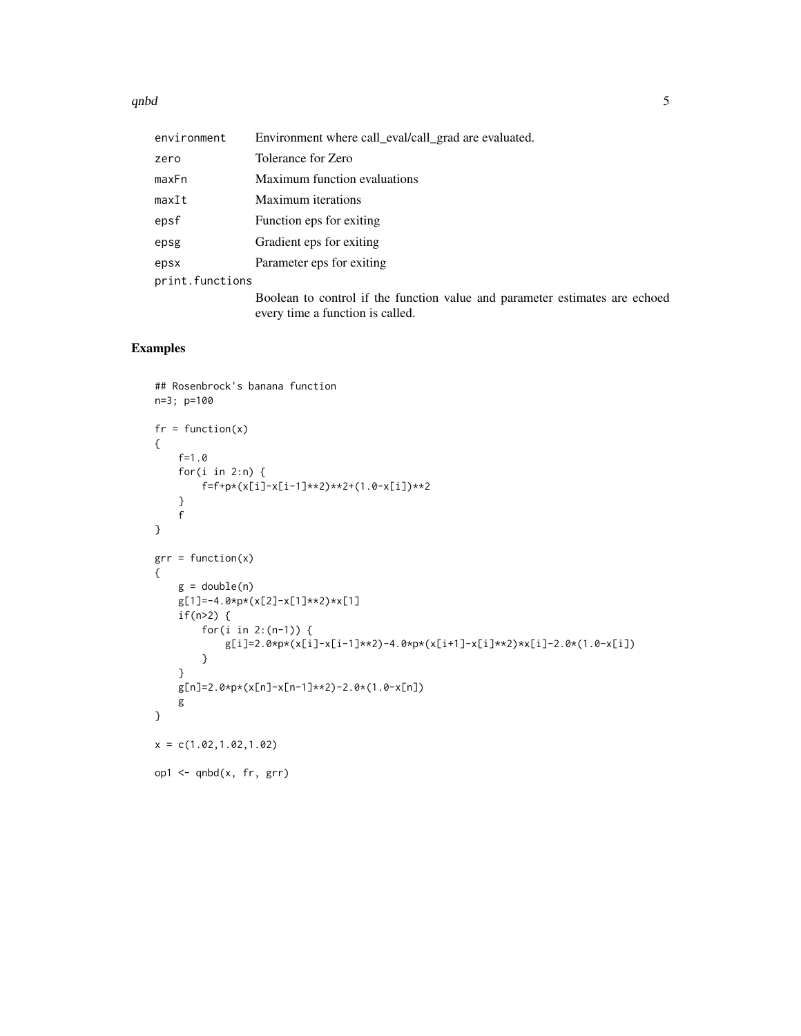$q$ nbd $5$ 

| environment     | Environment where call_eval/call_grad are evaluated.                                                            |
|-----------------|-----------------------------------------------------------------------------------------------------------------|
| zero            | Tolerance for Zero                                                                                              |
| maxFn           | Maximum function evaluations                                                                                    |
| maxIt           | Maximum iterations                                                                                              |
| epsf            | Function eps for exiting                                                                                        |
| epsg            | Gradient eps for exiting                                                                                        |
| epsx            | Parameter eps for exiting                                                                                       |
| print.functions |                                                                                                                 |
|                 | Boolean to control if the function value and parameter estimates are echoed<br>every time a function is called. |
|                 |                                                                                                                 |

#### Examples

```
## Rosenbrock's banana function
n=3; p=100
fr = function(x){
    f=1.0
    for(i in 2:n) {
        f=f+p*(x[i]-x[i-1]**2)**2+(1.0-x[i])**2
    }
    f
}
grr = function(x){
    g = double(n)g[1]=-4.0*p*(x[2]-x[1]**2)*x[1]
    if(n>2) {
        for(i in 2:(n-1)) {
            g[i]=2.0*p*(x[i]-x[i-1]**2)-4.0*p*(x[i+1]-x[i]**2)*x[i]-2.0*(1.0-x[i])}
    }
    g[n]=2.0*p*(x[n]-x[n-1]**2)-2.0*(1.0-x[n])
    g
}
x = c(1.02, 1.02, 1.02)op1 \leq qnbd(x, fr, grr)
```